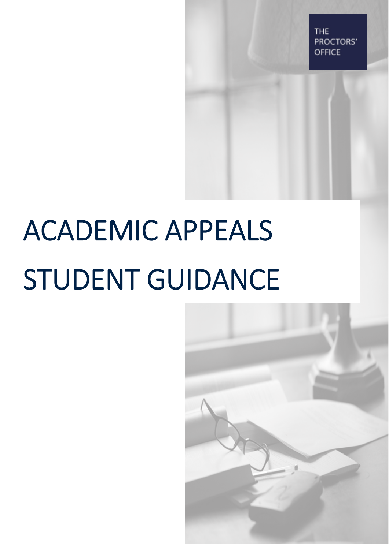THE PROCTORS' **OFFICE** 

# ACADEMIC APPEALS STUDENT GUIDANCE

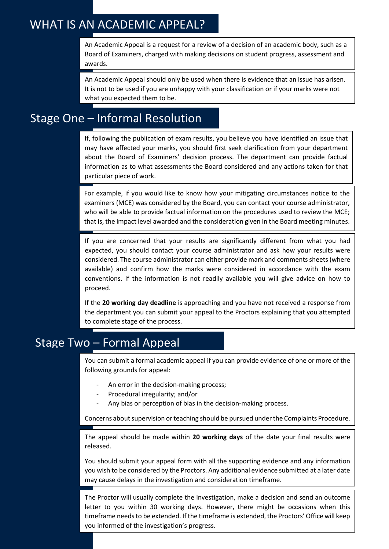# WHAT IS AN ACADEMIC APPEAL?

An Academic Appeal is a request for a review of a decision of an academic body, such as a Board of Examiners, charged with making decisions on student progress, assessment and awards.

An Academic Appeal should only be used when there is evidence that an issue has arisen. It is not to be used if you are unhappy with your classification or if your marks were not what you expected them to be.

## Stage One – Informal Resolution

If, following the publication of exam results, you believe you have identified an issue that may have affected your marks, you should first seek clarification from your department about the Board of Examiners' decision process. The department can provide factual information as to what assessments the Board considered and any actions taken for that particular piece of work.

For example, if you would like to know how your mitigating circumstances notice to the examiners (MCE) was considered by the Board, you can contact your course administrator, who will be able to provide factual information on the procedures used to review the MCE; that is, the impact level awarded and the consideration given in the Board meeting minutes.

If you are concerned that your results are significantly different from what you had expected, you should contact your course administrator and ask how your results were considered. The course administrator can either provide mark and comments sheets (where available) and confirm how the marks were considered in accordance with the exam conventions. If the information is not readily available you will give advice on how to proceed.

If the **20 working day deadline** is approaching and you have not received a response from the department you can submit your appeal to the Proctors explaining that you attempted to complete stage of the process.

# Stage Two – Formal Appeal

You can submit a formal academic appeal if you can provide evidence of one or more of the following grounds for appeal:

- An error in the decision-making process;
- Procedural irregularity; and/or
- Any bias or perception of bias in the decision-making process.

Concerns about supervision or teaching should be pursued under the Complaints Procedure.

The appeal should be made within **20 working days** of the date your final results were released.

You should submit your appeal form with all the supporting evidence and any information you wish to be considered by the Proctors. Any additional evidence submitted at a later date may cause delays in the investigation and consideration timeframe.

The Proctor will usually complete the investigation, make a decision and send an outcome letter to you within 30 working days. However, there might be occasions when this timeframe needs to be extended. If the timeframe is extended, the Proctors' Office will keep you informed of the investigation's progress.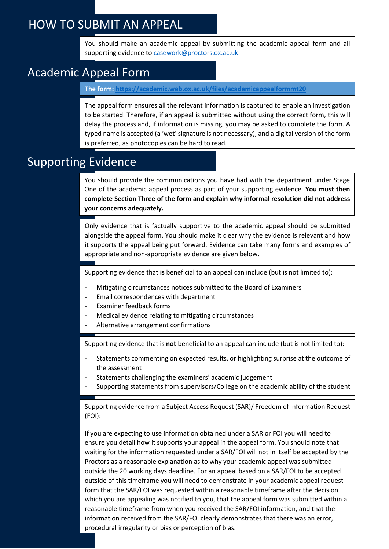## HOW TO SUBMIT AN APPEAL

You should make an academic appeal by submitting the academic appeal form and all supporting evidence to [casework@proctors.ox.ac.uk.](mailto:casework@proctors.ox.ac.uk)

## Academic Appeal Form

**The form: <https://academic.web.ox.ac.uk/files/academicappealformmt20>**

The appeal form ensures all the relevant information is captured to enable an investigation to be started. Therefore, if an appeal is submitted without using the correct form, this will delay the process and, if information is missing, you may be asked to complete the form. A typed name is accepted (a 'wet' signature is not necessary), and a digital version of the form is preferred, as photocopies can be hard to read.

## Supporting Evidence

You should provide the communications you have had with the department under Stage One of the academic appeal process as part of your supporting evidence. **You must then complete Section Three of the form and explain why informal resolution did not address your concerns adequately.**

Only evidence that is factually supportive to the academic appeal should be submitted alongside the appeal form. You should make it clear why the evidence is relevant and how it supports the appeal being put forward. Evidence can take many forms and examples of appropriate and non-appropriate evidence are given below.

Supporting evidence that **is** beneficial to an appeal can include (but is not limited to):

- Mitigating circumstances notices submitted to the Board of Examiners
- Email correspondences with department
- Examiner feedback forms
- Medical evidence relating to mitigating circumstances
- Alternative arrangement confirmations

Supporting evidence that is **not** beneficial to an appeal can include (but is not limited to):

- Statements commenting on expected results, or highlighting surprise at the outcome of the assessment
- Statements challenging the examiners' academic judgement
- Supporting statements from supervisors/College on the academic ability of the student

Supporting evidence from a Subject Access Request (SAR)/ Freedom of Information Request (FOI):

If you are expecting to use information obtained under a SAR or FOI you will need to ensure you detail how it supports your appeal in the appeal form. You should note that waiting for the information requested under a SAR/FOI will not in itself be accepted by the Proctors as a reasonable explanation as to why your academic appeal was submitted outside the 20 working days deadline. For an appeal based on a SAR/FOI to be accepted outside of this timeframe you will need to demonstrate in your academic appeal request form that the SAR/FOI was requested within a reasonable timeframe after the decision which you are appealing was notified to you, that the appeal form was submitted within a reasonable timeframe from when you received the SAR/FOI information, and that the information received from the SAR/FOI clearly demonstrates that there was an error, procedural irregularity or bias or perception of bias.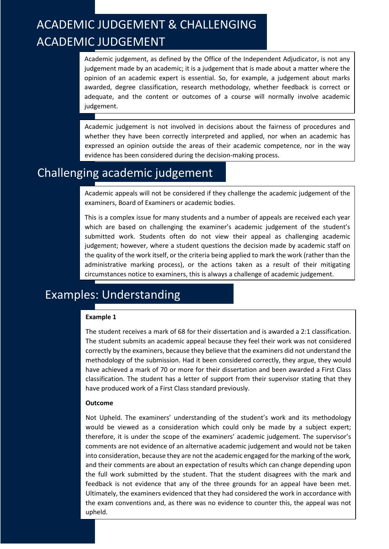# ACADEMIC JUDGEMENT & CHALLENGING ACADEMIC JUDGEMENT

Academic judgement, as defined by the Office of the Independent Adjudicator, is not any judgement made by an academic; it is a judgement that is made about a matter where the opinion of an academic expert is essential. So, for example, a judgement about marks awarded, degree classification, research methodology, whether feedback is correct or adequate, and the content or outcomes of a course will normally involve academic judgement.

Academic judgement is not involved in decisions about the fairness of procedures and whether they have been correctly interpreted and applied, nor when an academic has expressed an opinion outside the areas of their academic competence, nor in the way evidence has been considered during the decision-making process.

## Challenging academic judgement

Academic appeals will not be considered if they challenge the academic judgement of the examiners, Board of Examiners or academic bodies.

This is a complex issue for many students and a number of appeals are received each year which are based on challenging the examiner's academic judgement of the student's submitted work. Students often do not view their appeal as challenging academic judgement; however, where a student questions the decision made by academic staff on the quality of the work itself, or the criteria being applied to mark the work (rather than the administrative marking process), or the actions taken as a result of their mitigating circumstances notice to examiners, this is always a challenge of academic judgement.

# Examples: Understanding

#### **Example 1**

The student receives a mark of 68 for their dissertation and is awarded a 2:1 classification. The student submits an academic appeal because they feel their work was not considered correctly by the examiners, because they believe that the examiners did not understand the methodology of the submission. Had it been considered correctly, they argue, they would have achieved a mark of 70 or more for their dissertation and been awarded a First Class classification. The student has a letter of support from their supervisor stating that they have produced work of a First Class standard previously.

#### **Outcome**

Not Upheld. The examiners' understanding of the student's work and its methodology would be viewed as a consideration which could only be made by a subject expert; therefore, it is under the scope of the examiners' academic judgement. The supervisor's comments are not evidence of an alternative academic judgement and would not be taken into consideration, because they are not the academic engaged for the marking of the work, and their comments are about an expectation of results which can change depending upon the full work submitted by the student. That the student disagrees with the mark and feedback is not evidence that any of the three grounds for an appeal have been met. Ultimately, the examiners evidenced that they had considered the work in accordance with the exam conventions and, as there was no evidence to counter this, the appeal was not upheld.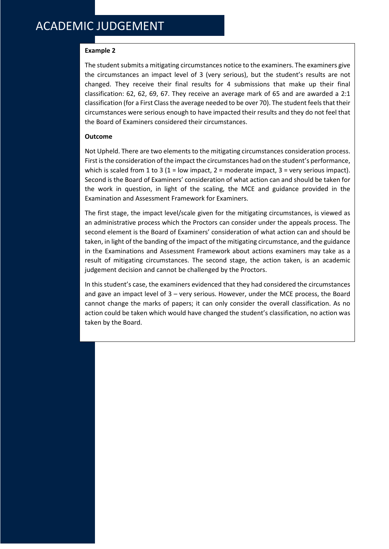#### **Example 2**

The student submits a mitigating circumstances notice to the examiners. The examiners give the circumstances an impact level of 3 (very serious), but the student's results are not changed. They receive their final results for 4 submissions that make up their final classification: 62, 62, 69, 67. They receive an average mark of 65 and are awarded a 2:1 classification (for a First Class the average needed to be over 70). The student feels that their circumstances were serious enough to have impacted their results and they do not feel that the Board of Examiners considered their circumstances.

#### **Outcome**

Not Upheld. There are two elements to the mitigating circumstances consideration process. First is the consideration of the impact the circumstances had on the student's performance, which is scaled from 1 to 3 (1 = low impact, 2 = moderate impact, 3 = very serious impact). Second is the Board of Examiners' consideration of what action can and should be taken for the work in question, in light of the scaling, the MCE and guidance provided in the Examination and Assessment Framework for Examiners.

The first stage, the impact level/scale given for the mitigating circumstances, is viewed as an administrative process which the Proctors can consider under the appeals process. The second element is the Board of Examiners' consideration of what action can and should be taken, in light of the banding of the impact of the mitigating circumstance, and the guidance in the Examinations and Assessment Framework about actions examiners may take as a result of mitigating circumstances. The second stage, the action taken, is an academic judgement decision and cannot be challenged by the Proctors.

In this student's case, the examiners evidenced that they had considered the circumstances and gave an impact level of 3 – very serious. However, under the MCE process, the Board cannot change the marks of papers; it can only consider the overall classification. As no action could be taken which would have changed the student's classification, no action was taken by the Board.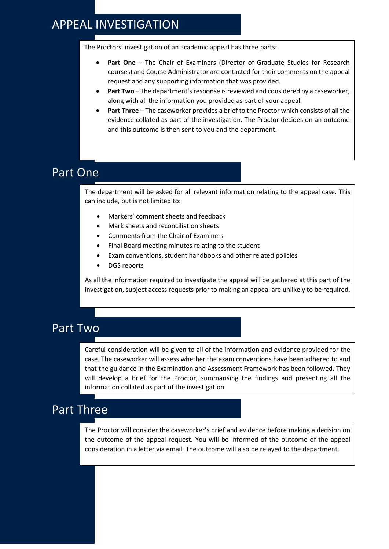### APPEAL INVESTIGATION

The Proctors' investigation of an academic appeal has three parts:

- **Part One** The Chair of Examiners (Director of Graduate Studies for Research courses) and Course Administrator are contacted for their comments on the appeal request and any supporting information that was provided.
- **Part Two**  The department's response is reviewed and considered by a caseworker, along with all the information you provided as part of your appeal.
- Part Three The caseworker provides a brief to the Proctor which consists of all the evidence collated as part of the investigation. The Proctor decides on an outcome and this outcome is then sent to you and the department.

## Part One

The department will be asked for all relevant information relating to the appeal case. This can include, but is not limited to:

- Markers' comment sheets and feedback
- Mark sheets and reconciliation sheets
- Comments from the Chair of Examiners
- Final Board meeting minutes relating to the student
- Exam conventions, student handbooks and other related policies
- DGS reports

As all the information required to investigate the appeal will be gathered at this part of the investigation, subject access requests prior to making an appeal are unlikely to be required.

#### Part Two

Careful consideration will be given to all of the information and evidence provided for the case. The caseworker will assess whether the exam conventions have been adhered to and that the guidance in the Examination and Assessment Framework has been followed. They will develop a brief for the Proctor, summarising the findings and presenting all the information collated as part of the investigation.

### Part Three

The Proctor will consider the caseworker's brief and evidence before making a decision on the outcome of the appeal request. You will be informed of the outcome of the appeal consideration in a letter via email. The outcome will also be relayed to the department.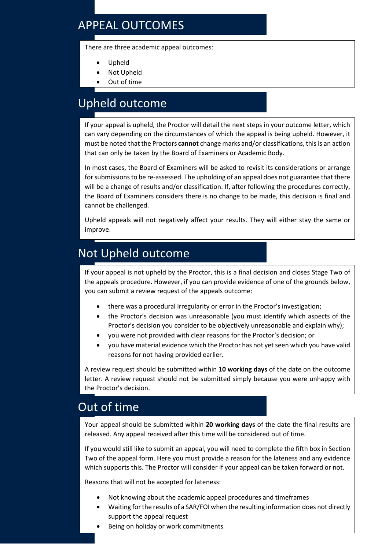# APPEAL OUTCOMES

There are three academic appeal outcomes:

- Upheld
- Not Upheld
- Out of time

# Upheld outcome

If your appeal is upheld, the Proctor will detail the next steps in your outcome letter, which can vary depending on the circumstances of which the appeal is being upheld. However, it must be noted that the Proctors **cannot** change marks and/or classifications, this is an action that can only be taken by the Board of Examiners or Academic Body.

In most cases, the Board of Examiners will be asked to revisit its considerations or arrange for submissions to be re-assessed. The upholding of an appeal does not guarantee that there will be a change of results and/or classification. If, after following the procedures correctly, the Board of Examiners considers there is no change to be made, this decision is final and cannot be challenged.

Upheld appeals will not negatively affect your results. They will either stay the same or improve.

## Not Upheld outcome

If your appeal is not upheld by the Proctor, this is a final decision and closes Stage Two of the appeals procedure. However, if you can provide evidence of one of the grounds below, you can submit a review request of the appeals outcome:

- there was a procedural irregularity or error in the Proctor's investigation;
- the Proctor's decision was unreasonable (you must identify which aspects of the Proctor's decision you consider to be objectively unreasonable and explain why);
- you were not provided with clear reasons for the Proctor's decision; or
- you have material evidence which the Proctor has not yet seen which you have valid reasons for not having provided earlier.

A review request should be submitted within **10 working days** of the date on the outcome letter. A review request should not be submitted simply because you were unhappy with the Proctor's decision.

#### Out of time

Your appeal should be submitted within **20 working days** of the date the final results are released. Any appeal received after this time will be considered out of time.

If you would still like to submit an appeal, you will need to complete the fifth box in Section Two of the appeal form. Here you must provide a reason for the lateness and any evidence which supports this. The Proctor will consider if your appeal can be taken forward or not.

Reasons that will not be accepted for lateness:

- Not knowing about the academic appeal procedures and timeframes
- Waiting for the results of a SAR/FOI when the resulting information does not directly support the appeal request
- Being on holiday or work commitments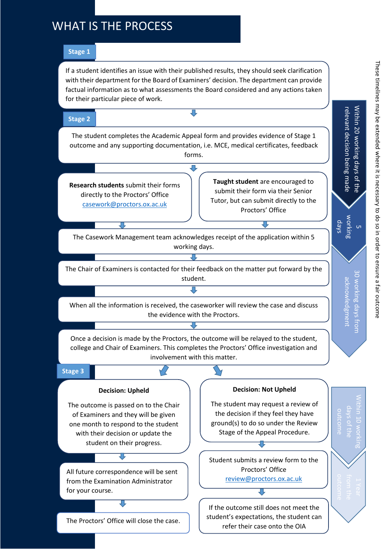# WHAT IS THE PROCESS

#### **Stage 1**

If a student identifies an issue with their published results, they should seek clarification with their department for the Board of Examiners' decision. The department can provide factual information as to what assessments the Board considered and any actions taken for their particular piece of work.

#### **Stage 2**

The student completes the Academic Appeal form and provides evidence of Stage 1 outcome and any supporting documentation, i.e. MCE, medical certificates, feedback forms.

冗

**Research students** submit their forms directly to the Proctors' Office [casework@proctors.ox.ac.uk](mailto:casework@proctors.ox.ac.uk) 

**Taught student** are encouraged to submit their form via their Senior Tutor, but can submit directly to the Proctors' Office

[casework@proctors.ox.ac.uk](mailto:casework@proctors.ox.ac.uk)

The Casework Management team acknowledges receipt of the application within 5 working days.

ग्र

The Chair of Examiners is contacted for their feedback on the matter put forward by the student.

When all the information is received, the caseworker will review the case and discuss the evidence with the Proctors.

Once a decision is made by the Proctors, the outcome will be relayed to the student, college and Chair of Examiners. This completes the Proctors' Office investigation and involvement with this matter.

#### **Stage 3**

#### **Decision: Upheld**

The outcome is passed on to the Chair of Examiners and they will be given one month to respond to the student with their decision or update the student on their progress.

All future correspondence will be sent from the Examination Administrator for your course.

 $\overline{\mathbf{U}}$ 

The Proctors' Office will close the case.



The student may request a review of the decision if they feel they have ground(s) to do so under the Review Stage of the Appeal Procedure.

Student submits a review form to the Proctors' Office [review@proctors.ox.ac.uk](mailto:review@proctors.ox.ac.uk) 

[review@proctors.ox.ac.uk](mailto:review@proctors.ox.ac.uk)

If the outcome still does not meet the student's expectations, the student can refer their case onto the OIA

Within

relevant

decision

being

made

w orking days  $\overline{\phantom{a}}$ 

> $\frac{\alpha}{\alpha}$ w orking

ackno

wledg

ment

days fro 3

Within

10  $\vec{o}$ the

outco

me

20 w orking

days <u>o</u> the